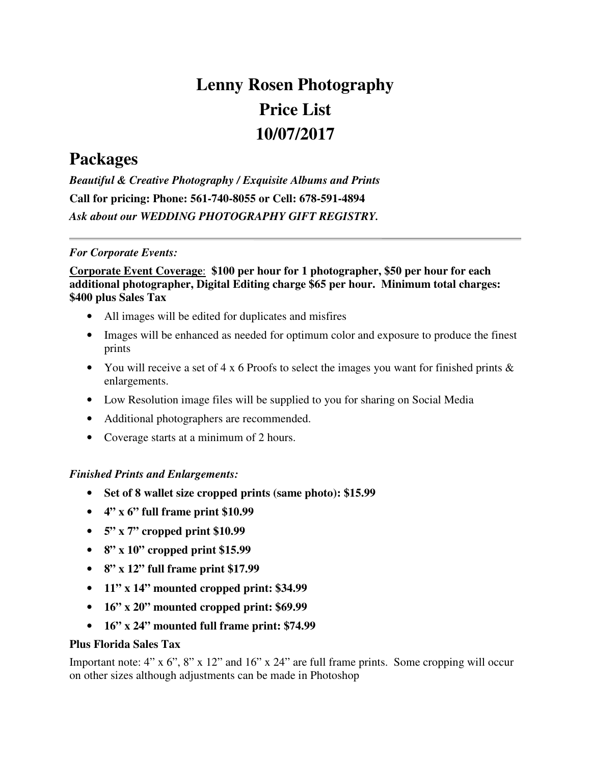# **Lenny Rosen Photography Price List 10/07/2017**

# **Packages**

*Beautiful & Creative Photography / Exquisite Albums and Prints*  **Call for pricing: Phone: 561-740-8055 or Cell: 678-591-4894** *Ask about our WEDDING PHOTOGRAPHY GIFT REGISTRY.* 

#### *For Corporate Events:*

# **Corporate Event Coverage**: **\$100 per hour for 1 photographer, \$50 per hour for each additional photographer, Digital Editing charge \$65 per hour. Minimum total charges: \$400 plus Sales Tax**

- All images will be edited for duplicates and misfires
- Images will be enhanced as needed for optimum color and exposure to produce the finest prints
- You will receive a set of  $4 \times 6$  Proofs to select the images you want for finished prints  $\&$ enlargements.
- Low Resolution image files will be supplied to you for sharing on Social Media
- Additional photographers are recommended.
- Coverage starts at a minimum of 2 hours.

# *Finished Prints and Enlargements:*

- **Set of 8 wallet size cropped prints (same photo): \$15.99**
- **4" x 6" full frame print \$10.99**
- **5" x 7" cropped print \$10.99**
- **8" x 10" cropped print \$15.99**
- **8" x 12" full frame print \$17.99**
- **11" x 14" mounted cropped print: \$34.99**
- **16" x 20" mounted cropped print: \$69.99**
- **16" x 24" mounted full frame print: \$74.99**

#### **Plus Florida Sales Tax**

Important note: 4" x 6", 8" x 12" and 16" x 24" are full frame prints. Some cropping will occur on other sizes although adjustments can be made in Photoshop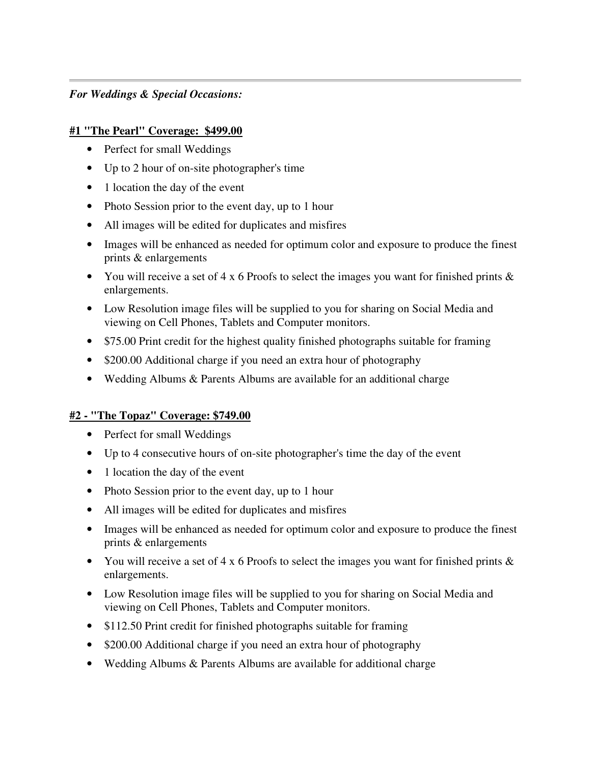#### *For Weddings & Special Occasions:*

#### **#1 "The Pearl" Coverage: \$499.00**

- Perfect for small Weddings
- Up to 2 hour of on-site photographer's time
- 1 location the day of the event
- Photo Session prior to the event day, up to 1 hour
- All images will be edited for duplicates and misfires
- Images will be enhanced as needed for optimum color and exposure to produce the finest prints & enlargements
- You will receive a set of  $4 \times 6$  Proofs to select the images you want for finished prints  $\&$ enlargements.
- Low Resolution image files will be supplied to you for sharing on Social Media and viewing on Cell Phones, Tablets and Computer monitors.
- \$75.00 Print credit for the highest quality finished photographs suitable for framing
- \$200.00 Additional charge if you need an extra hour of photography
- Wedding Albums & Parents Albums are available for an additional charge

#### **#2 - "The Topaz" Coverage: \$749.00**

- Perfect for small Weddings
- Up to 4 consecutive hours of on-site photographer's time the day of the event
- 1 location the day of the event
- Photo Session prior to the event day, up to 1 hour
- All images will be edited for duplicates and misfires
- Images will be enhanced as needed for optimum color and exposure to produce the finest prints & enlargements
- You will receive a set of 4 x 6 Proofs to select the images you want for finished prints  $\&$ enlargements.
- Low Resolution image files will be supplied to you for sharing on Social Media and viewing on Cell Phones, Tablets and Computer monitors.
- \$112.50 Print credit for finished photographs suitable for framing
- \$200.00 Additional charge if you need an extra hour of photography
- Wedding Albums & Parents Albums are available for additional charge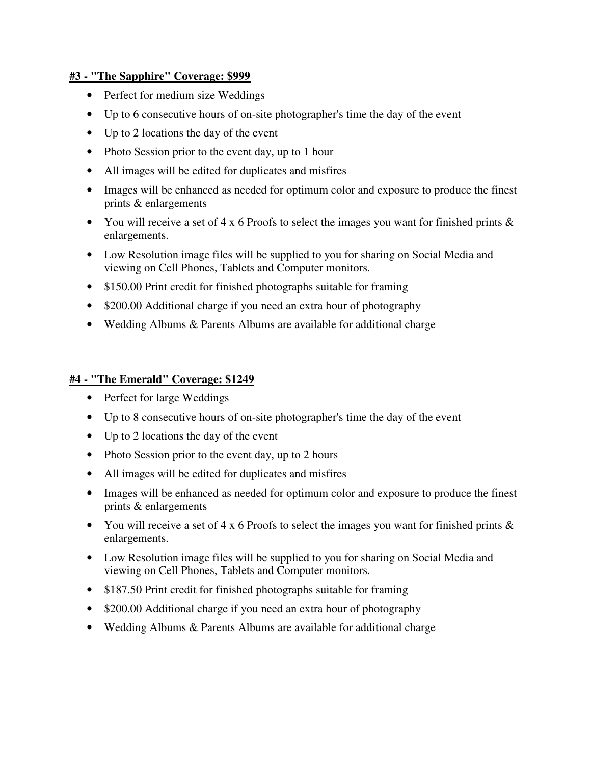#### **#3 - "The Sapphire" Coverage: \$999**

- Perfect for medium size Weddings
- Up to 6 consecutive hours of on-site photographer's time the day of the event
- Up to 2 locations the day of the event
- Photo Session prior to the event day, up to 1 hour
- All images will be edited for duplicates and misfires
- Images will be enhanced as needed for optimum color and exposure to produce the finest prints & enlargements
- You will receive a set of 4 x 6 Proofs to select the images you want for finished prints  $\&$ enlargements.
- Low Resolution image files will be supplied to you for sharing on Social Media and viewing on Cell Phones, Tablets and Computer monitors.
- \$150.00 Print credit for finished photographs suitable for framing
- \$200.00 Additional charge if you need an extra hour of photography
- Wedding Albums & Parents Albums are available for additional charge

#### **#4 - "The Emerald" Coverage: \$1249**

- Perfect for large Weddings
- Up to 8 consecutive hours of on-site photographer's time the day of the event
- Up to 2 locations the day of the event
- Photo Session prior to the event day, up to 2 hours
- All images will be edited for duplicates and misfires
- Images will be enhanced as needed for optimum color and exposure to produce the finest prints & enlargements
- You will receive a set of 4 x 6 Proofs to select the images you want for finished prints  $\&$ enlargements.
- Low Resolution image files will be supplied to you for sharing on Social Media and viewing on Cell Phones, Tablets and Computer monitors.
- \$187.50 Print credit for finished photographs suitable for framing
- \$200.00 Additional charge if you need an extra hour of photography
- Wedding Albums & Parents Albums are available for additional charge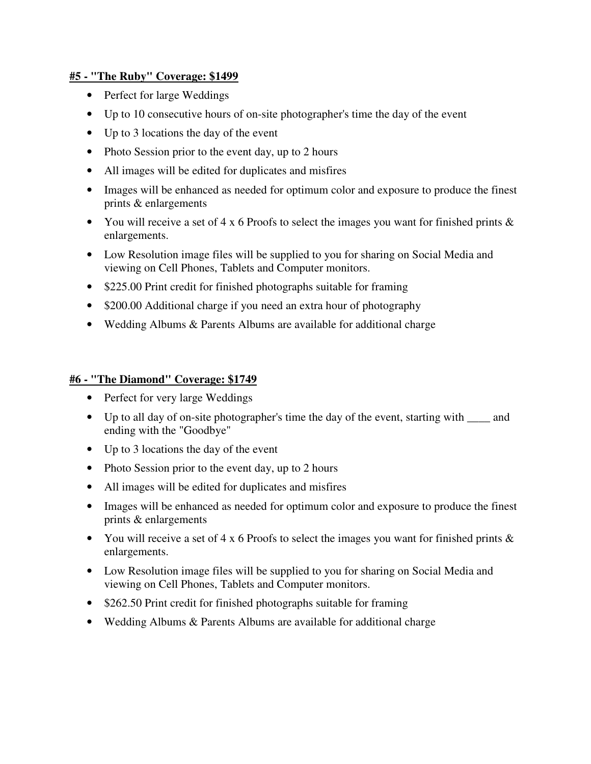#### **#5 - "The Ruby" Coverage: \$1499**

- Perfect for large Weddings
- Up to 10 consecutive hours of on-site photographer's time the day of the event
- Up to 3 locations the day of the event
- Photo Session prior to the event day, up to 2 hours
- All images will be edited for duplicates and misfires
- Images will be enhanced as needed for optimum color and exposure to produce the finest prints & enlargements
- You will receive a set of 4 x 6 Proofs to select the images you want for finished prints  $\&$ enlargements.
- Low Resolution image files will be supplied to you for sharing on Social Media and viewing on Cell Phones, Tablets and Computer monitors.
- \$225.00 Print credit for finished photographs suitable for framing
- \$200.00 Additional charge if you need an extra hour of photography
- Wedding Albums & Parents Albums are available for additional charge

#### **#6 - "The Diamond" Coverage: \$1749**

- Perfect for very large Weddings
- Up to all day of on-site photographer's time the day of the event, starting with \_\_\_\_ and ending with the "Goodbye"
- Up to 3 locations the day of the event
- Photo Session prior to the event day, up to 2 hours
- All images will be edited for duplicates and misfires
- Images will be enhanced as needed for optimum color and exposure to produce the finest prints & enlargements
- You will receive a set of 4 x 6 Proofs to select the images you want for finished prints & enlargements.
- Low Resolution image files will be supplied to you for sharing on Social Media and viewing on Cell Phones, Tablets and Computer monitors.
- \$262.50 Print credit for finished photographs suitable for framing
- Wedding Albums & Parents Albums are available for additional charge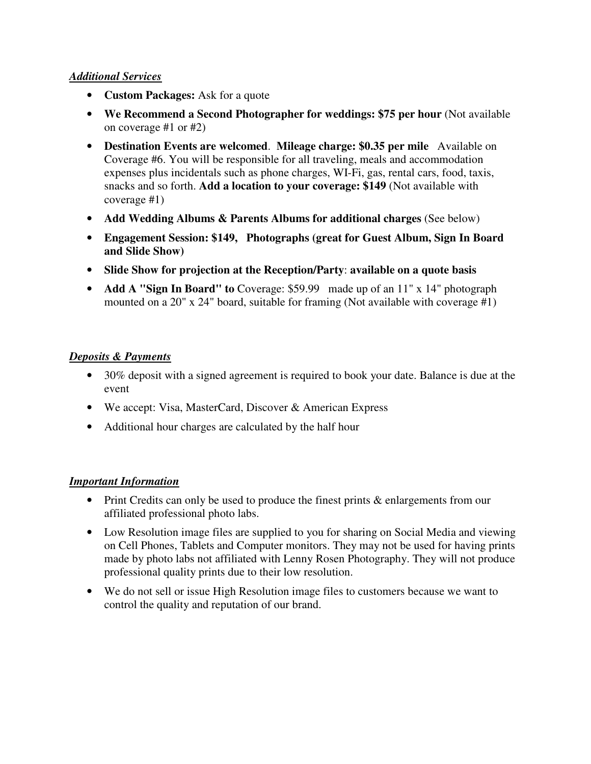#### *Additional Services*

- **Custom Packages:** Ask for a quote
- **We Recommend a Second Photographer for weddings: \$75 per hour** (Not available) on coverage #1 or #2)
- **Destination Events are welcomed**. **Mileage charge: \$0.35 per mile** Available on Coverage #6. You will be responsible for all traveling, meals and accommodation expenses plus incidentals such as phone charges, WI-Fi, gas, rental cars, food, taxis, snacks and so forth. **Add a location to your coverage: \$149** (Not available with coverage #1)
- **Add Wedding Albums & Parents Albums for additional charges** (See below)
- **Engagement Session: \$149, Photographs (great for Guest Album, Sign In Board and Slide Show)**
- **Slide Show for projection at the Reception/Party**: **available on a quote basis**
- **Add A "Sign In Board" to** Coverage: \$59.99 made up of an 11" x 14" photograph mounted on a 20" x 24" board, suitable for framing (Not available with coverage #1)

# *Deposits & Payments*

- 30% deposit with a signed agreement is required to book your date. Balance is due at the event
- We accept: Visa, MasterCard, Discover & American Express
- Additional hour charges are calculated by the half hour

#### *Important Information*

- Print Credits can only be used to produce the finest prints & enlargements from our affiliated professional photo labs.
- Low Resolution image files are supplied to you for sharing on Social Media and viewing on Cell Phones, Tablets and Computer monitors. They may not be used for having prints made by photo labs not affiliated with Lenny Rosen Photography. They will not produce professional quality prints due to their low resolution.
- We do not sell or issue High Resolution image files to customers because we want to control the quality and reputation of our brand.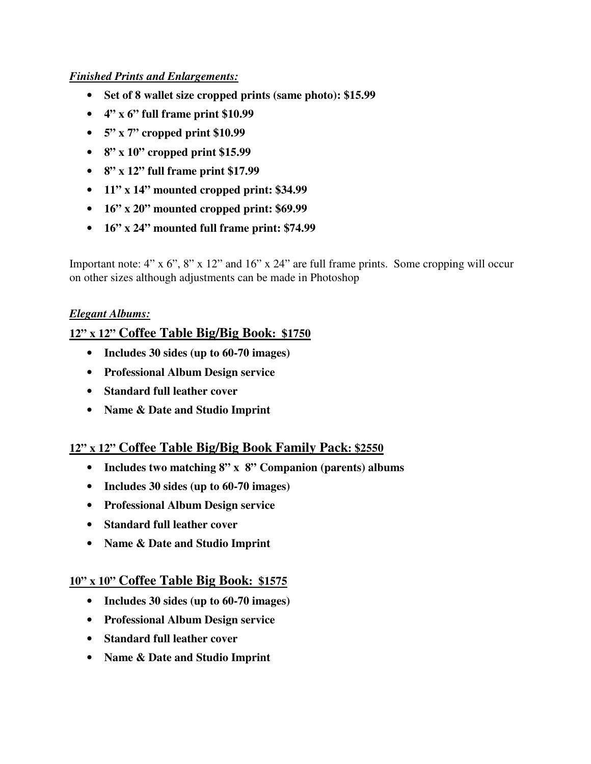# *Finished Prints and Enlargements:*

- **Set of 8 wallet size cropped prints (same photo): \$15.99**
- **4" x 6" full frame print \$10.99**
- **5" x 7" cropped print \$10.99**
- **8" x 10" cropped print \$15.99**
- **8" x 12" full frame print \$17.99**
- **11" x 14" mounted cropped print: \$34.99**
- **16" x 20" mounted cropped print: \$69.99**
- **16" x 24" mounted full frame print: \$74.99**

Important note: 4" x 6", 8" x 12" and 16" x 24" are full frame prints. Some cropping will occur on other sizes although adjustments can be made in Photoshop

# *Elegant Albums:*

# **12" x 12" Coffee Table Big/Big Book: \$1750**

- **Includes 30 sides (up to 60-70 images)**
- **Professional Album Design service**
- **Standard full leather cover**
- **Name & Date and Studio Imprint**

# **12" x 12" Coffee Table Big/Big Book Family Pack: \$2550**

- **Includes two matching 8" x 8" Companion (parents) albums**
- **Includes 30 sides (up to 60-70 images)**
- **Professional Album Design service**
- **Standard full leather cover**
- **Name & Date and Studio Imprint**

# **10" x 10" Coffee Table Big Book: \$1575**

- **Includes 30 sides (up to 60-70 images)**
- **Professional Album Design service**
- **Standard full leather cover**
- **Name & Date and Studio Imprint**